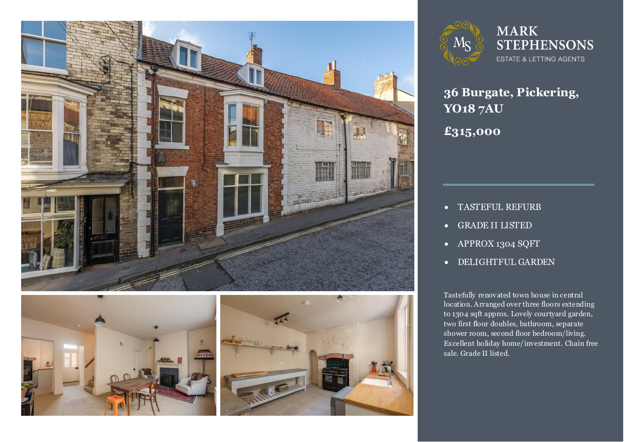





**MARK STEPHENSONS** ESTATE & LETTING AGENTS

**36 Burgate, Pickering, YO18 7AU £315,000**

- TASTEFUL REFURB
- GRADE II LISTED
- APPROX 1304 SQFT
- DELIGHTFUL GARDEN

Tastefully renovated town house in central<br>location. Arranged over three floors extending to 1304 sqft approx. Lovely courtyard garden,<br>two first floor doubles. bathroom. separate Tastefully renovated town house in central two first floor doubles, bathroom, separate shower room, second floor bedroom/living. Excellent holiday home/investment. Chain free sale. Grade II listed.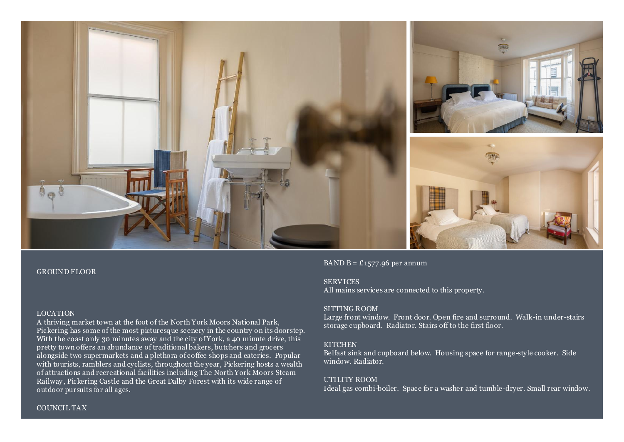

#### GROUND FLOOR

#### LOCATION

A thriving market town at the foot of the North York Moors National Park, Pickering has some of the most picturesque scenery in the country on its doorstep. With the coast only 30 minutes away and the city of York, a 40 minute drive, this pretty town offers an abundance of traditional bakers, butchers and grocers alongside two supermarkets and a plethora of coffee shops and eateries. Popular with tourists, ramblers and cyclists, throughout the year, Pickering hosts a wealth of attractions and recreational facilities including The North York Moors Steam Railway, Pickering Castle and the Great Dalby Forest with its wide range of outdoor pursuits for all ages.

BAND  $B = \pounds 1577.96$  per annum

#### **SERVICES**

All mains services are connected to this property.

#### SITTING ROOM

Large front window. Front door. Open fire and surround. Walk-in under-stairs storage cupboard. Radiator. Stairs off to the first floor.

#### **KITCHEN**

Belfast sink and cupboard below. Housing space for range-style cooker. Side window. Radiator.

#### UTILITY ROOM

Ideal gas combi-boiler. Space for a washer and tumble-dryer. Small rear window.

#### COUNCIL TAX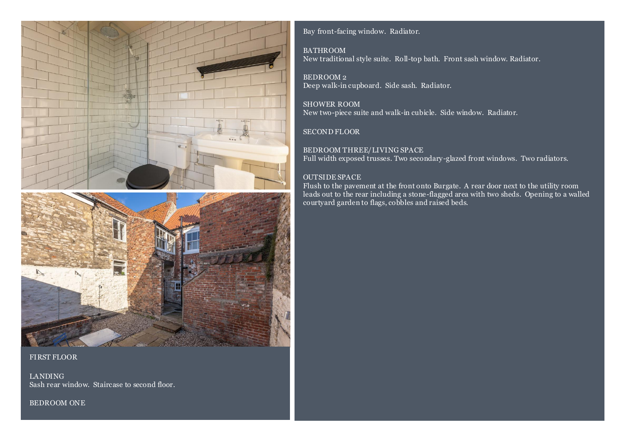



#### FIRST FLOOR

LANDING Sash rear window. Staircase to second floor.

BEDROOM ONE

Bay front-facing window. Radiator.

#### BATHROOM

New traditional style suite. Roll-top bath. Front sash window. Radiator.

BEDROOM 2 Deep walk-in cupboard. Side sash. Radiator.

SHOWER ROOM New two-piece suite and walk-in cubicle. Side window. Radiator.

### SECOND FLOOR

BEDROOM THREE/LIVING SPACE Full width exposed trusses. Two secondary-glazed front windows. Two radiators.

### OUTSIDE SPACE

Flush to the pavement at the front onto Burgate. A rear door next to the utility room leads out to the rear including a stone-flagged area with two sheds. Opening to a walled courtyard garden to flags, cobbles and raised beds.